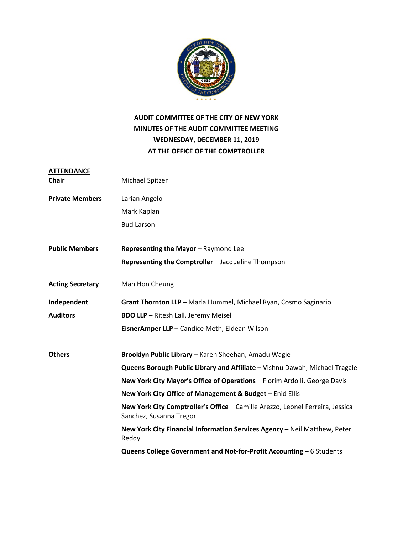

### **AUDIT COMMITTEE OF THE CITY OF NEW YORK MINUTES OF THE AUDIT COMMITTEE MEETING WEDNESDAY, DECEMBER 11, 2019 AT THE OFFICE OF THE COMPTROLLER**

| <b>ATTENDANCE</b>       |                                                                                                          |
|-------------------------|----------------------------------------------------------------------------------------------------------|
| Chair                   | Michael Spitzer                                                                                          |
| <b>Private Members</b>  | Larian Angelo                                                                                            |
|                         | Mark Kaplan                                                                                              |
|                         | <b>Bud Larson</b>                                                                                        |
| <b>Public Members</b>   | Representing the Mayor - Raymond Lee                                                                     |
|                         | Representing the Comptroller - Jacqueline Thompson                                                       |
| <b>Acting Secretary</b> | Man Hon Cheung                                                                                           |
| Independent             | Grant Thornton LLP - Marla Hummel, Michael Ryan, Cosmo Saginario                                         |
| <b>Auditors</b>         | <b>BDO LLP</b> - Ritesh Lall, Jeremy Meisel                                                              |
|                         | EisnerAmper LLP - Candice Meth, Eldean Wilson                                                            |
| <b>Others</b>           | Brooklyn Public Library - Karen Sheehan, Amadu Wagie                                                     |
|                         | Queens Borough Public Library and Affiliate - Vishnu Dawah, Michael Tragale                              |
|                         | New York City Mayor's Office of Operations - Florim Ardolli, George Davis                                |
|                         | New York City Office of Management & Budget - Enid Ellis                                                 |
|                         | New York City Comptroller's Office - Camille Arezzo, Leonel Ferreira, Jessica<br>Sanchez, Susanna Tregor |
|                         | New York City Financial Information Services Agency - Neil Matthew, Peter<br>Reddy                       |
|                         | Queens College Government and Not-for-Profit Accounting - 6 Students                                     |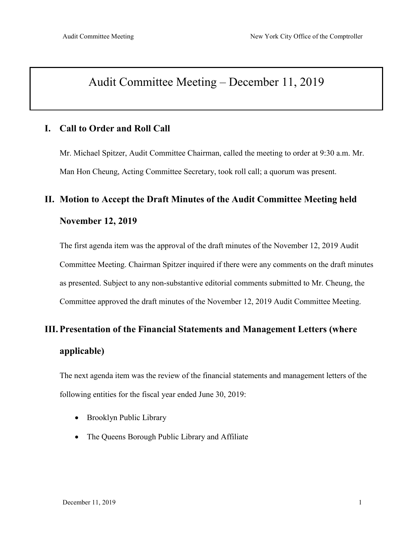## Audit Committee Meeting – December 11, 2019

### **I. Call to Order and Roll Call**

Mr. Michael Spitzer, Audit Committee Chairman, called the meeting to order at 9:30 a.m. Mr. Man Hon Cheung, Acting Committee Secretary, took roll call; a quorum was present.

## **II. Motion to Accept the Draft Minutes of the Audit Committee Meeting held November 12, 2019**

The first agenda item was the approval of the draft minutes of the November 12, 2019 Audit Committee Meeting. Chairman Spitzer inquired if there were any comments on the draft minutes as presented. Subject to any non-substantive editorial comments submitted to Mr. Cheung, the Committee approved the draft minutes of the November 12, 2019 Audit Committee Meeting.

# **III. Presentation of the Financial Statements and Management Letters (where applicable)**

The next agenda item was the review of the financial statements and management letters of the following entities for the fiscal year ended June 30, 2019:

- Brooklyn Public Library
- The Queens Borough Public Library and Affiliate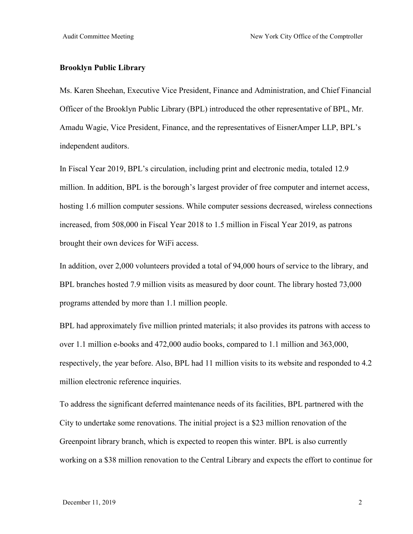#### **Brooklyn Public Library**

Ms. Karen Sheehan, Executive Vice President, Finance and Administration, and Chief Financial Officer of the Brooklyn Public Library (BPL) introduced the other representative of BPL, Mr. Amadu Wagie, Vice President, Finance, and the representatives of EisnerAmper LLP, BPL's independent auditors.

In Fiscal Year 2019, BPL's circulation, including print and electronic media, totaled 12.9 million. In addition, BPL is the borough's largest provider of free computer and internet access, hosting 1.6 million computer sessions. While computer sessions decreased, wireless connections increased, from 508,000 in Fiscal Year 2018 to 1.5 million in Fiscal Year 2019, as patrons brought their own devices for WiFi access.

In addition, over 2,000 volunteers provided a total of 94,000 hours of service to the library, and BPL branches hosted 7.9 million visits as measured by door count. The library hosted 73,000 programs attended by more than 1.1 million people.

BPL had approximately five million printed materials; it also provides its patrons with access to over 1.1 million e-books and 472,000 audio books, compared to 1.1 million and 363,000, respectively, the year before. Also, BPL had 11 million visits to its website and responded to 4.2 million electronic reference inquiries.

To address the significant deferred maintenance needs of its facilities, BPL partnered with the City to undertake some renovations. The initial project is a \$23 million renovation of the Greenpoint library branch, which is expected to reopen this winter. BPL is also currently working on a \$38 million renovation to the Central Library and expects the effort to continue for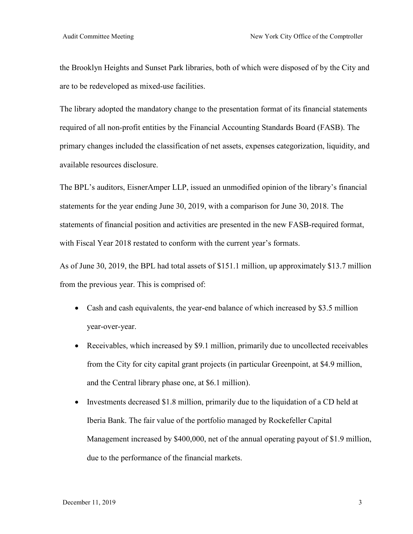the Brooklyn Heights and Sunset Park libraries, both of which were disposed of by the City and are to be redeveloped as mixed-use facilities.

The library adopted the mandatory change to the presentation format of its financial statements required of all non-profit entities by the Financial Accounting Standards Board (FASB). The primary changes included the classification of net assets, expenses categorization, liquidity, and available resources disclosure.

The BPL's auditors, EisnerAmper LLP, issued an unmodified opinion of the library's financial statements for the year ending June 30, 2019, with a comparison for June 30, 2018. The statements of financial position and activities are presented in the new FASB-required format, with Fiscal Year 2018 restated to conform with the current year's formats.

As of June 30, 2019, the BPL had total assets of \$151.1 million, up approximately \$13.7 million from the previous year. This is comprised of:

- Cash and cash equivalents, the year-end balance of which increased by \$3.5 million year-over-year.
- Receivables, which increased by \$9.1 million, primarily due to uncollected receivables from the City for city capital grant projects (in particular Greenpoint, at \$4.9 million, and the Central library phase one, at \$6.1 million).
- Investments decreased \$1.8 million, primarily due to the liquidation of a CD held at Iberia Bank. The fair value of the portfolio managed by Rockefeller Capital Management increased by \$400,000, net of the annual operating payout of \$1.9 million, due to the performance of the financial markets.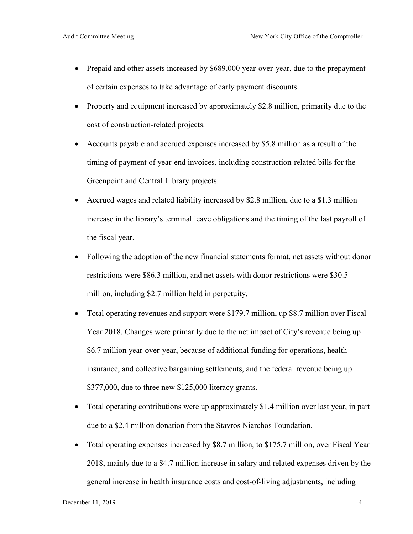- Prepaid and other assets increased by \$689,000 year-over-year, due to the prepayment of certain expenses to take advantage of early payment discounts.
- Property and equipment increased by approximately \$2.8 million, primarily due to the cost of construction-related projects.
- Accounts payable and accrued expenses increased by \$5.8 million as a result of the timing of payment of year-end invoices, including construction-related bills for the Greenpoint and Central Library projects.
- Accrued wages and related liability increased by \$2.8 million, due to a \$1.3 million increase in the library's terminal leave obligations and the timing of the last payroll of the fiscal year.
- Following the adoption of the new financial statements format, net assets without donor restrictions were \$86.3 million, and net assets with donor restrictions were \$30.5 million, including \$2.7 million held in perpetuity.
- Total operating revenues and support were \$179.7 million, up \$8.7 million over Fiscal Year 2018. Changes were primarily due to the net impact of City's revenue being up \$6.7 million year-over-year, because of additional funding for operations, health insurance, and collective bargaining settlements, and the federal revenue being up \$377,000, due to three new \$125,000 literacy grants.
- Total operating contributions were up approximately \$1.4 million over last year, in part due to a \$2.4 million donation from the Stavros Niarchos Foundation.
- Total operating expenses increased by \$8.7 million, to \$175.7 million, over Fiscal Year 2018, mainly due to a \$4.7 million increase in salary and related expenses driven by the general increase in health insurance costs and cost-of-living adjustments, including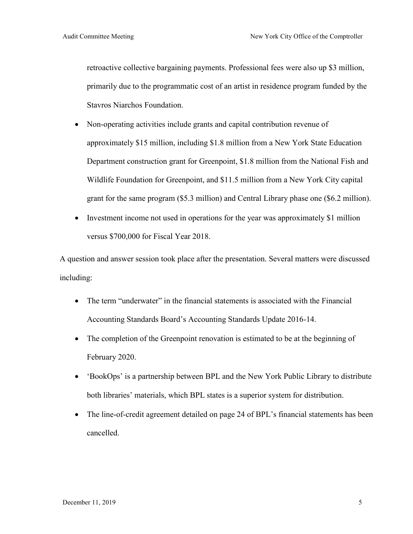retroactive collective bargaining payments. Professional fees were also up \$3 million, primarily due to the programmatic cost of an artist in residence program funded by the Stavros Niarchos Foundation.

- Non-operating activities include grants and capital contribution revenue of approximately \$15 million, including \$1.8 million from a New York State Education Department construction grant for Greenpoint, \$1.8 million from the National Fish and Wildlife Foundation for Greenpoint, and \$11.5 million from a New York City capital grant for the same program (\$5.3 million) and Central Library phase one (\$6.2 million).
- Investment income not used in operations for the year was approximately \$1 million versus \$700,000 for Fiscal Year 2018.

A question and answer session took place after the presentation. Several matters were discussed including:

- The term "underwater" in the financial statements is associated with the Financial Accounting Standards Board's Accounting Standards Update 2016-14.
- The completion of the Greenpoint renovation is estimated to be at the beginning of February 2020.
- 'BookOps' is a partnership between BPL and the New York Public Library to distribute both libraries' materials, which BPL states is a superior system for distribution.
- The line-of-credit agreement detailed on page 24 of BPL's financial statements has been cancelled.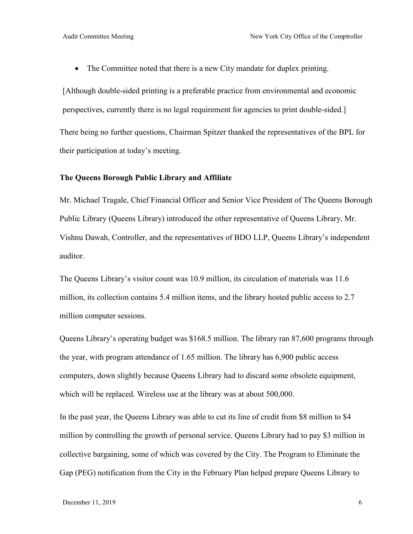• The Committee noted that there is a new City mandate for duplex printing.

[Although double-sided printing is a preferable practice from environmental and economic perspectives, currently there is no legal requirement for agencies to print double-sided.] There being no further questions, Chairman Spitzer thanked the representatives of the BPL for their participation at today's meeting.

#### **The Queens Borough Public Library and Affiliate**

Mr. Michael Tragale, Chief Financial Officer and Senior Vice President of The Queens Borough Public Library (Queens Library) introduced the other representative of Queens Library, Mr. Vishnu Dawah, Controller, and the representatives of BDO LLP, Queens Library's independent auditor.

The Queens Library's visitor count was 10.9 million, its circulation of materials was 11.6 million, its collection contains 5.4 million items, and the library hosted public access to 2.7 million computer sessions.

Queens Library's operating budget was \$168.5 million. The library ran 87,600 programs through the year, with program attendance of 1.65 million. The library has 6,900 public access computers, down slightly because Queens Library had to discard some obsolete equipment, which will be replaced. Wireless use at the library was at about 500,000.

In the past year, the Queens Library was able to cut its line of credit from \$8 million to \$4 million by controlling the growth of personal service. Queens Library had to pay \$3 million in collective bargaining, some of which was covered by the City. The Program to Eliminate the Gap (PEG) notification from the City in the February Plan helped prepare Queens Library to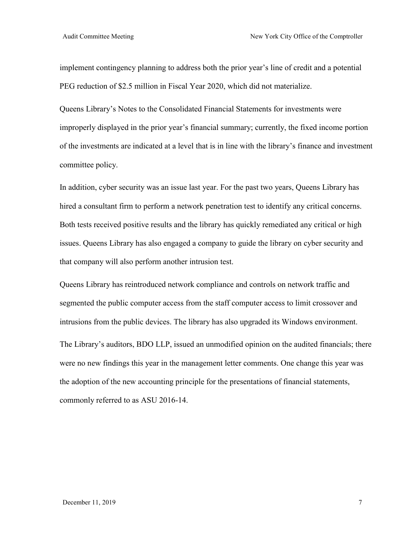implement contingency planning to address both the prior year's line of credit and a potential PEG reduction of \$2.5 million in Fiscal Year 2020, which did not materialize.

Queens Library's Notes to the Consolidated Financial Statements for investments were improperly displayed in the prior year's financial summary; currently, the fixed income portion of the investments are indicated at a level that is in line with the library's finance and investment committee policy.

In addition, cyber security was an issue last year. For the past two years, Queens Library has hired a consultant firm to perform a network penetration test to identify any critical concerns. Both tests received positive results and the library has quickly remediated any critical or high issues. Queens Library has also engaged a company to guide the library on cyber security and that company will also perform another intrusion test.

Queens Library has reintroduced network compliance and controls on network traffic and segmented the public computer access from the staff computer access to limit crossover and intrusions from the public devices. The library has also upgraded its Windows environment.

The Library's auditors, BDO LLP, issued an unmodified opinion on the audited financials; there were no new findings this year in the management letter comments. One change this year was the adoption of the new accounting principle for the presentations of financial statements, commonly referred to as ASU 2016-14.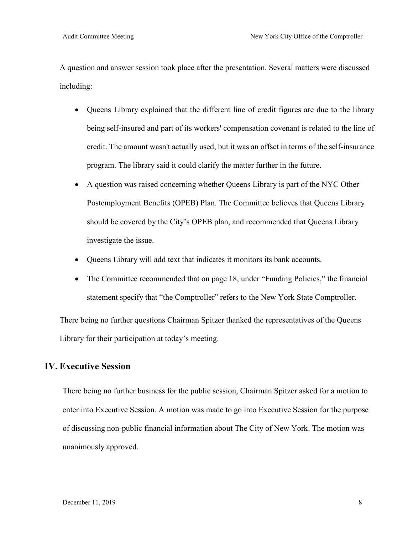A question and answer session took place after the presentation. Several matters were discussed including:

- Queens Library explained that the different line of credit figures are due to the library being self-insured and part of its workers' compensation covenant is related to the line of credit. The amount wasn't actually used, but it was an offset in terms of the self-insurance program. The library said it could clarify the matter further in the future.
- A question was raised concerning whether Queens Library is part of the NYC Other Postemployment Benefits (OPEB) Plan. The Committee believes that Queens Library should be covered by the City's OPEB plan, and recommended that Queens Library investigate the issue.
- Queens Library will add text that indicates it monitors its bank accounts.
- The Committee recommended that on page 18, under "Funding Policies," the financial statement specify that "the Comptroller" refers to the New York State Comptroller.

There being no further questions Chairman Spitzer thanked the representatives of the Queens Library for their participation at today's meeting.

## **IV. Executive Session**

There being no further business for the public session, Chairman Spitzer asked for a motion to enter into Executive Session. A motion was made to go into Executive Session for the purpose of discussing non-public financial information about The City of New York. The motion was unanimously approved.